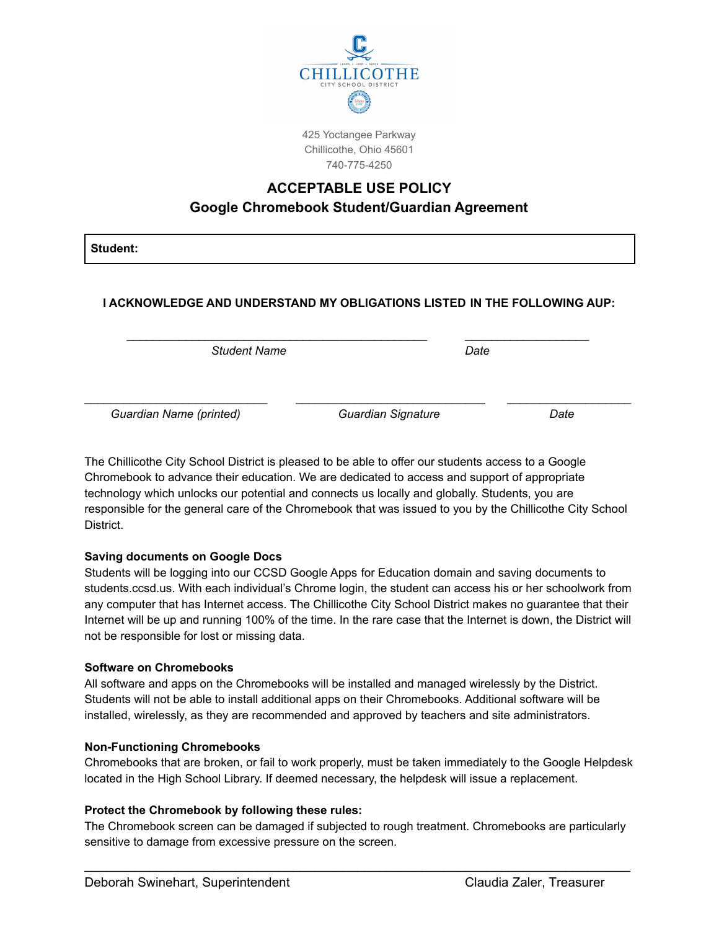

425 Yoctangee Parkway Chillicothe, Ohio 45601 740-775-4250

# **ACCEPTABLE USE POLICY Google Chromebook Student/Guardian Agreement**

**Student:**

# **I ACKNOWLEDGE AND UNDERSTAND MY OBLIGATIONS LISTED IN THE FOLLOWING AUP:**

\_\_\_\_\_\_\_\_\_\_\_\_\_\_\_\_\_\_\_\_\_\_\_\_\_\_\_\_\_\_\_\_\_\_\_\_\_\_\_\_\_\_\_\_\_\_ \_\_\_\_\_\_\_\_\_\_\_\_\_\_\_\_\_\_\_

\_\_\_\_\_\_\_\_\_\_\_\_\_\_\_\_\_\_\_\_\_\_\_\_\_\_\_\_ \_\_\_\_\_\_\_\_\_\_\_\_\_\_\_\_\_\_\_\_\_\_\_\_\_\_\_\_\_ \_\_\_\_\_\_\_\_\_\_\_\_\_\_\_\_\_\_\_

*Student Name Date*

*Guardian Name (printed) Guardian Signature Date*

The Chillicothe City School District is pleased to be able to offer our students access to a Google Chromebook to advance their education. We are dedicated to access and support of appropriate technology which unlocks our potential and connects us locally and globally. Students, you are responsible for the general care of the Chromebook that was issued to you by the Chillicothe City School District.

## **Saving documents on Google Docs**

Students will be logging into our CCSD Google Apps for Education domain and saving documents to students.ccsd.us. With each individual's Chrome login, the student can access his or her schoolwork from any computer that has Internet access. The Chillicothe City School District makes no guarantee that their Internet will be up and running 100% of the time. In the rare case that the Internet is down, the District will not be responsible for lost or missing data.

#### **Software on Chromebooks**

All software and apps on the Chromebooks will be installed and managed wirelessly by the District. Students will not be able to install additional apps on their Chromebooks. Additional software will be installed, wirelessly, as they are recommended and approved by teachers and site administrators.

#### **Non-Functioning Chromebooks**

Chromebooks that are broken, or fail to work properly, must be taken immediately to the Google Helpdesk located in the High School Library. If deemed necessary, the helpdesk will issue a replacement.

#### **Protect the Chromebook by following these rules:**

The Chromebook screen can be damaged if subjected to rough treatment. Chromebooks are particularly sensitive to damage from excessive pressure on the screen.

\_\_\_\_\_\_\_\_\_\_\_\_\_\_\_\_\_\_\_\_\_\_\_\_\_\_\_\_\_\_\_\_\_\_\_\_\_\_\_\_\_\_\_\_\_\_\_\_\_\_\_\_\_\_\_\_\_\_\_\_\_\_\_\_\_\_\_\_\_\_\_\_\_\_\_\_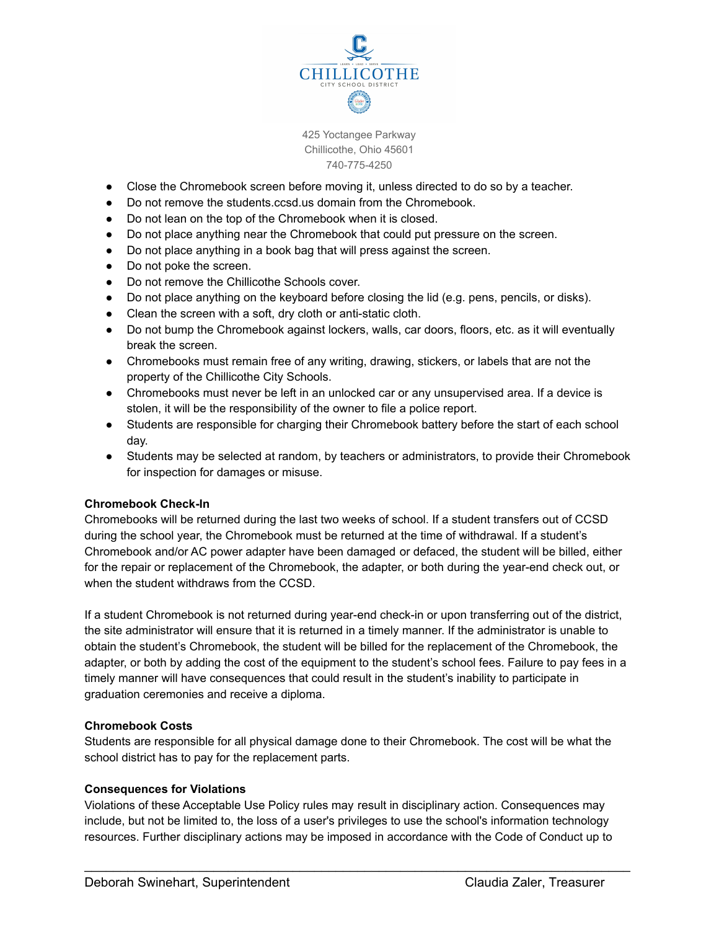

425 Yoctangee Parkway Chillicothe, Ohio 45601 740-775-4250

- Close the Chromebook screen before moving it, unless directed to do so by a teacher.
- Do not remove the students.ccsd.us domain from the Chromebook.
- Do not lean on the top of the Chromebook when it is closed.
- Do not place anything near the Chromebook that could put pressure on the screen.
- Do not place anything in a book bag that will press against the screen.
- Do not poke the screen.
- Do not remove the Chillicothe Schools cover.
- Do not place anything on the keyboard before closing the lid (e.g. pens, pencils, or disks).
- Clean the screen with a soft, dry cloth or anti-static cloth.
- Do not bump the Chromebook against lockers, walls, car doors, floors, etc. as it will eventually break the screen.
- Chromebooks must remain free of any writing, drawing, stickers, or labels that are not the property of the Chillicothe City Schools.
- Chromebooks must never be left in an unlocked car or any unsupervised area. If a device is stolen, it will be the responsibility of the owner to file a police report.
- Students are responsible for charging their Chromebook battery before the start of each school day.
- Students may be selected at random, by teachers or administrators, to provide their Chromebook for inspection for damages or misuse.

#### **Chromebook Check-In**

Chromebooks will be returned during the last two weeks of school. If a student transfers out of CCSD during the school year, the Chromebook must be returned at the time of withdrawal. If a student's Chromebook and/or AC power adapter have been damaged or defaced, the student will be billed, either for the repair or replacement of the Chromebook, the adapter, or both during the year-end check out, or when the student withdraws from the CCSD.

If a student Chromebook is not returned during year-end check-in or upon transferring out of the district, the site administrator will ensure that it is returned in a timely manner. If the administrator is unable to obtain the student's Chromebook, the student will be billed for the replacement of the Chromebook, the adapter, or both by adding the cost of the equipment to the student's school fees. Failure to pay fees in a timely manner will have consequences that could result in the student's inability to participate in graduation ceremonies and receive a diploma.

#### **Chromebook Costs**

Students are responsible for all physical damage done to their Chromebook. The cost will be what the school district has to pay for the replacement parts.

#### **Consequences for Violations**

Violations of these Acceptable Use Policy rules may result in disciplinary action. Consequences may include, but not be limited to, the loss of a user's privileges to use the school's information technology resources. Further disciplinary actions may be imposed in accordance with the Code of Conduct up to

\_\_\_\_\_\_\_\_\_\_\_\_\_\_\_\_\_\_\_\_\_\_\_\_\_\_\_\_\_\_\_\_\_\_\_\_\_\_\_\_\_\_\_\_\_\_\_\_\_\_\_\_\_\_\_\_\_\_\_\_\_\_\_\_\_\_\_\_\_\_\_\_\_\_\_\_